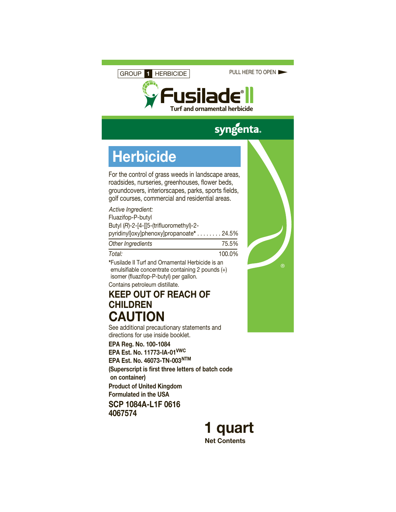GROUP **1** HERBICIDE

PULL HERE TO OPEN



# syngenta.

# **Herbicide**

For the control of grass weeds in landscape areas, roadsides, nurseries, greenhouses, flower beds, groundcovers, interiorscapes, parks, sports fields, golf courses, commercial and residential areas.

| Active Ingredient:                      |       |
|-----------------------------------------|-------|
| Fluazifop-P-butyl                       |       |
| Butyl (R)-2-[4-[[5-(trifluoromethyl)-2- |       |
| pyridinyloxylphenoxylpropanoate* 24.5%  |       |
| Other Ingredients                       | 75.5% |

*Total:* 100.0%

**\***Fusilade II Turf and Ornamental Herbicide is an emulsifiable concentrate containing 2 pounds (+) isomer (fluazifop-P-butyl) per gallon. Contains petroleum distillate.

## **KEEP OUT OF REACH OF CHILDREN CAUTION**

See additional precautionary statements and directions for use inside booklet.

**EPA Reg. No. 100-1084 EPA Est. No. 11773-IA-01VWC EPA Est. No. 46073-TN-003NTM (Superscript is first three letters of batch code on container) Product of United Kingdom Formulated in the USA**

**SCP 1084A-L1F 0616 4067574**





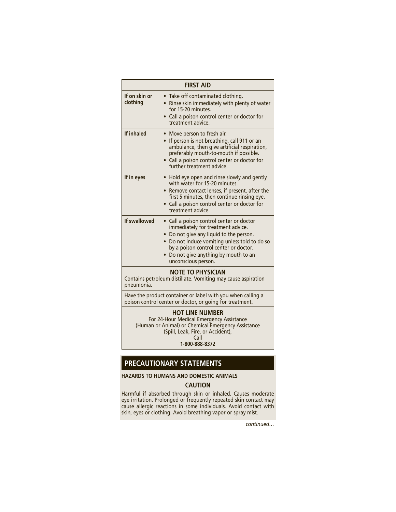| <b>FIRST AID</b>          |                                                                                                                                                                                                                                                                                |
|---------------------------|--------------------------------------------------------------------------------------------------------------------------------------------------------------------------------------------------------------------------------------------------------------------------------|
| If on skin or<br>clothing | • Take off contaminated clothing.<br>Rinse skin immediately with plenty of water<br>$\bullet$<br>for 15-20 minutes.<br>Call a poison control center or doctor for<br>treatment advice.                                                                                         |
| If inhaled                | Move person to fresh air.<br>If person is not breathing, call 911 or an<br>$\bullet$<br>ambulance, then give artificial respiration,<br>preferably mouth-to-mouth if possible.<br>• Call a poison control center or doctor for<br>further treatment advice.                    |
| If in eyes                | Hold eye open and rinse slowly and gently<br>$\bullet$<br>with water for 15-20 minutes.<br>• Remove contact lenses, if present, after the<br>first 5 minutes, then continue rinsing eye.<br>• Call a poison control center or doctor for<br>treatment advice.                  |
| If swallowed              | • Call a poison control center or doctor<br>immediately for treatment advice.<br>• Do not give any liquid to the person.<br>Do not induce vomiting unless told to do so<br>by a poison control center or doctor.<br>Do not give anything by mouth to an<br>unconscious person. |

#### **NOTE TO PHYSICIAN**

Contains petroleum distillate. Vomiting may cause aspiration pneumonia.

Have the product container or label with you when calling a poison control center or doctor, or going for treatment.

**HOT LINE NUMBER** For 24-Hour Medical Emergency Assistance (Human or Animal) or Chemical Emergency Assistance (Spill, Leak, Fire, or Accident), Call **1-800-888-8372**

## **PRECAUTIONARY STATEMENTS**

**HAZARDS TO HUMANS AND DOMESTIC ANIMALS**

#### **CAUTION**

Harmful if absorbed through skin or inhaled. Causes moderate eye irritation. Prolonged or frequently repeated skin contact may cause allergic reactions in some individuals. Avoid contact with skin, eyes or clothing. Avoid breathing vapor or spray mist.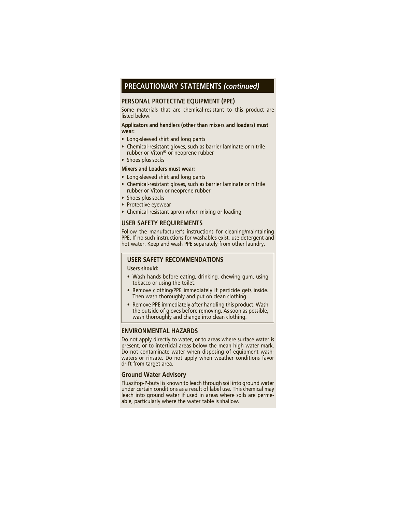### **PRECAUTIONARY STATEMENTS** *(continued)*

#### **PERSONAL PROTECTIVE EQUIPMENT (PPE)**

Some materials that are chemical-resistant to this product are listed below.

#### **Applicators and handlers (other than mixers and loaders) must wear:**

- Long-sleeved shirt and long pants
- Chemical-resistant gloves, such as barrier laminate or nitrile rubber or Viton® or neoprene rubber
- Shoes plus socks

#### **Mixers and Loaders must wear:**

- Long-sleeved shirt and long pants
- Chemical-resistant gloves, such as barrier laminate or nitrile rubber or Viton or neoprene rubber
- Shoes plus socks
- Protective eyewear
- Chemical-resistant apron when mixing or loading

#### **USER SAFETY REQUIREMENTS**

Follow the manufacturer's instructions for cleaning/maintaining PPE. If no such instructions for washables exist, use detergent and hot water. Keep and wash PPE separately from other laundry.

#### **USER SAFETY RECOMMENDATIONS**

**Users should:**

- Wash hands before eating, drinking, chewing gum, using tobacco or using the toilet.
- Remove clothing/PPE immediately if pesticide gets inside. Then wash thoroughly and put on clean clothing.
- Remove PPE immediately after handling this product. Wash the outside of gloves before removing. As soon as possible, wash thoroughly and change into clean clothing.

#### **ENVIRONMENTAL HAZARDS**

Do not apply directly to water, or to areas where surface water is present, or to intertidal areas below the mean high water mark. Do not contaminate water when disposing of equipment washwaters or rinsate. Do not apply when weather conditions favor drift from target area.

#### **Ground Water Advisory**

Fluazifop-P-butyl is known to leach through soil into ground water under certain conditions as a result of label use. This chemical may leach into ground water if used in areas where soils are permeable, particularly where the water table is shallow.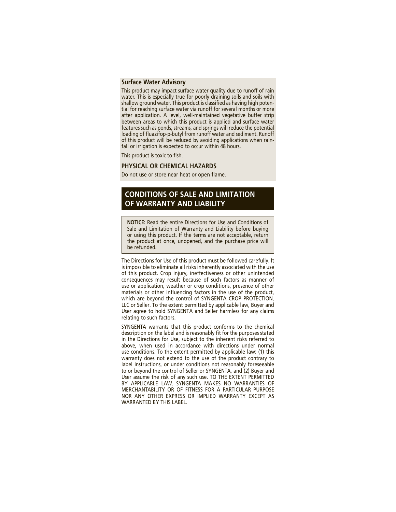#### **Surface Water Advisory**

This product may impact surface water quality due to runoff of rain water. This is especially true for poorly draining soils and soils with shallow ground water. This product is classified as having high potential for reaching surface water via runoff for several months or more after application. A level, welI-maintained vegetative buffer strip between areas to which this product is applied and surface water features such as ponds, streams, and springs will reduce the potential loading of fluazifop-p-butyl from runoff water and sediment. Runoff of this product will be reduced by avoiding applications when rainfall or irrigation is expected to occur within 48 hours.

This product is toxic to fish.

#### **PHYSICAL OR CHEMICAL HAZARDS**

Do not use or store near heat or open flame.

### **CONDITIONS OF SALE AND LIMITATION OF WARRANTY AND LIABILITY**

**NOTICE:** Read the entire Directions for Use and Conditions of Sale and Limitation of Warranty and Liability before buying or using this product. If the terms are not acceptable, return the product at once, unopened, and the purchase price will be refunded.

The Directions for Use of this product must be followed carefully. It is impossible to eliminate all risks inherently associated with the use of this product. Crop injury, ineffectiveness or other unintended consequences may result because of such factors as manner of use or application, weather or crop conditions, presence of other materials or other influencing factors in the use of the product, which are beyond the control of SYNGENTA CROP PROTECTION, LLC or Seller. To the extent permitted by applicable law, Buyer and User agree to hold SYNGENTA and Seller harmless for any claims relating to such factors.

SYNGENTA warrants that this product conforms to the chemical description on the label and is reasonably fit for the purposes stated in the Directions for Use, subject to the inherent risks referred to above, when used in accordance with directions under normal use conditions. To the extent permitted by applicable law: (1) this warranty does not extend to the use of the product contrary to label instructions, or under conditions not reasonably foreseeable to or beyond the control of Seller or SYNGENTA, and (2) Buyer and User assume the risk of any such use. TO THE EXTENT PERMITTED BY APPLICABLE LAW, SYNGENTA MAKES NO WARRANTIES OF MERCHANTABILITY OR OF FITNESS FOR A PARTICULAR PURPOSE NOR ANY OTHER EXPRESS OR IMPLIED WARRANTY EXCEPT AS WARRANTED BY THIS LABEL.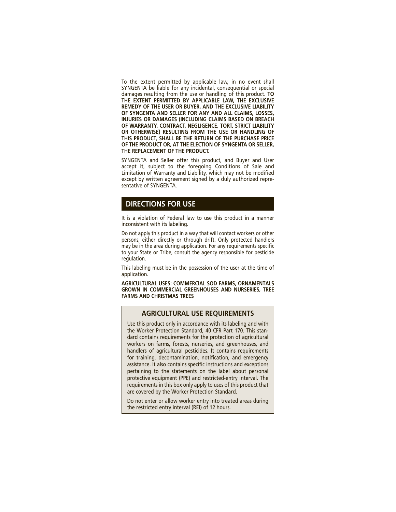To the extent permitted by applicable law, in no event shall SYNGENTA be liable for any incidental, consequential or special damages resulting from the use or handling of this product. **TO THE EXTENT PERMITTED BY APPLICABLE LAW, THE EXCLUSIVE REMEDY OF THE USER OR BUYER, AND THE EXCLUSIVE LIABILITY OF SYNGENTA AND SELLER FOR ANY AND ALL CLAIMS, LOSSES, INJURIES OR DAMAGES (INCLUDING CLAIMS BASED ON BREACH OF WARRANTY, CONTRACT, NEGLIGENCE, TORT, STRICT LIABILITY OR OTHERWISE) RESULTING FROM THE USE OR HANDLING OF THIS PRODUCT, SHALL BE THE RETURN OF THE PURCHASE PRICE OF THE PRODUCT OR, AT THE ELECTION OF SYNGENTA OR SELLER, THE REPLACEMENT OF THE PRODUCT.**

SYNGENTA and Seller offer this product, and Buyer and User accept it, subject to the foregoing Conditions of Sale and Limitation of Warranty and Liability, which may not be modified except by written agreement signed by a duly authorized representative of SYNGENTA.

#### **DIRECTIONS FOR USE**

It is a violation of Federal law to use this product in a manner inconsistent with its labeling.

Do not apply this product in a way that will contact workers or other persons, either directly or through drift. Only protected handlers may be in the area during application. For any requirements specific to your State or Tribe, consult the agency responsible for pesticide regulation.

This labeling must be in the possession of the user at the time of application.

**AGRICULTURAL USES: COMMERCIAL SOD FARMS, ORNAMENTALS GROWN IN COMMERCIAL GREENHOUSES AND NURSERIES, TREE FARMS AND CHRISTMAS TREES**

#### **AGRICULTURAL USE REQUIREMENTS**

Use this product only in accordance with its labeling and with the Worker Protection Standard, 40 CFR Part 170. This standard contains requirements for the protection of agricultural workers on farms, forests, nurseries, and greenhouses, and handlers of agricultural pesticides. It contains requirements for training, decontamination, notification, and emergency assistance. It also contains specific instructions and exceptions pertaining to the statements on the label about personal protective equipment (PPE) and restricted-entry interval. The requirements in this box only apply to uses of this product that are covered by the Worker Protection Standard.

Do not enter or allow worker entry into treated areas during the restricted entry interval (REI) of 12 hours.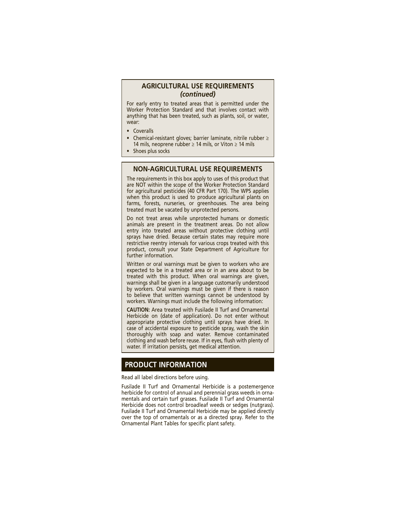#### **AGRICULTURAL USE REQUIREMENTS** *(continued)*

For early entry to treated areas that is permitted under the Worker Protection Standard and that involves contact with anything that has been treated, such as plants, soil, or water, wear:

- Coveralls
- Chemical-resistant gloves; barrier laminate, nitrile rubber ≥ 14 mils, neoprene rubber ≥ 14 mils, or Viton ≥ 14 mils
- Shoes plus socks

#### **NON-AGRICULTURAL USE REQUIREMENTS**

The requirements in this box apply to uses of this product that are NOT within the scope of the Worker Protection Standard for agricultural pesticides (40 CFR Part 170). The WPS applies when this product is used to produce agricultural plants on farms, forests, nurseries, or greenhouses. The area being treated must be vacated by unprotected persons.

Do not treat areas while unprotected humans or domestic animals are present in the treatment areas. Do not allow entry into treated areas without protective clothing until sprays have dried. Because certain states may require more restrictive reentry intervals for various crops treated with this product, consult your State Department of Agriculture for further information.

Written or oral warnings must be given to workers who are expected to be in a treated area or in an area about to be treated with this product. When oral warnings are given, warnings shall be given in a language customarily understood by workers. Oral warnings must be given if there is reason to believe that written warnings cannot be understood by workers. Warnings must include the following information:

**CAUTION:** Area treated with Fusilade II Turf and Ornamental Herbicide on (date of application). Do not enter without appropriate protective clothing until sprays have dried. In case of accidental exposure to pesticide spray, wash the skin thoroughly with soap and water. Remove contaminated clothing and wash before reuse. If in eyes, flush with plenty of water. If irritation persists, get medical attention.

#### **PRODUCT INFORMATION**

#### Read all label directions before using.

Fusilade II Turf and Ornamental Herbicide is a postemergence herbicide for control of annual and perennial grass weeds in ornamentals and certain turf grasses. Fusilade II Turf and Ornamental Herbicide does not control broadleaf weeds or sedges (nutgrass). Fusilade II Turf and Ornamental Herbicide may be applied directly over the top of ornamentals or as a directed spray. Refer to the Ornamental Plant Tables for specific plant safety.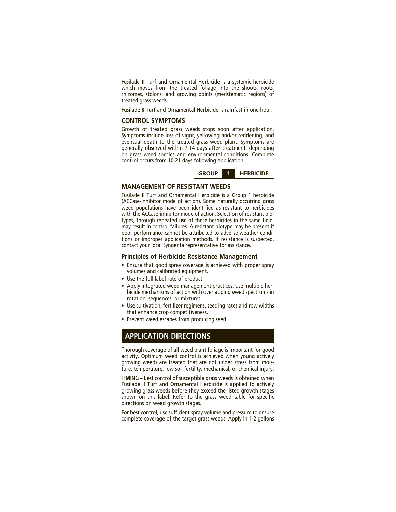Fusilade II Turf and Ornamental Herbicide is a systemic herbicide which moves from the treated foliage into the shoots, roots, rhizomes, stolons, and growing points (meristematic regions) of treated grass weeds.

Fusilade II Turf and Ornamental Herbicide is rainfast in one hour.

#### **CONTROL SYMPTOMS**

Growth of treated grass weeds stops soon after application. Symptoms include loss of vigor, yellowing and/or reddening, and eventual death to the treated grass weed plant. Symptoms are generally observed within 7-14 days after treatment, depending on grass weed species and environmental conditions. Complete control occurs from 10-21 days following application.

| <b>GROUP</b> |  | <b>HERBICIDE</b> |
|--------------|--|------------------|
|--------------|--|------------------|

#### **MANAGEMENT OF RESISTANT WEEDS**

Fusilade II Turf and Ornamental Herbicide is a Group 1 herbicide (ACCase-inhibitor mode of action). Some naturally occurring grass weed populations have been identified as resistant to herbicides with the ACCase-inhibitor mode of action. Selection of resistant biotypes, through repeated use of these herbicides in the same field, may result in control failures. A resistant biotype may be present if poor performance cannot be attributed to adverse weather conditions or improper application methods. If resistance is suspected, contact your local Syngenta representative for assistance.

#### **Principles of Herbicide Resistance Management**

- Ensure that good spray coverage is achieved with proper spray volumes and calibrated equipment.
- Use the full label rate of product.
- Apply integrated weed management practices. Use multiple herbicide mechanisms of action with overlapping weed spectrums in rotation, sequences, or mixtures.
- Use cultivation, fertilizer regimens, seeding rates and row widths that enhance crop competitiveness.
- Prevent weed escapes from producing seed.

#### **APPLICATION DIRECTIONS**

Thorough coverage of all weed plant foliage is important for good activity. Optimum weed control is achieved when young actively growing weeds are treated that are not under stress from moisture, temperature, low soil fertility, mechanical, or chemical injury.

**TIMING** – Best control of susceptible grass weeds is obtained when Fusilade II Turf and Ornamental Herbicide is applied to actively growing grass weeds before they exceed the listed growth stages shown on this label. Refer to the grass weed table for specific directions on weed growth stages.

For best control, use sufficient spray volume and pressure to ensure complete coverage of the target grass weeds. Apply in 1-2 gallons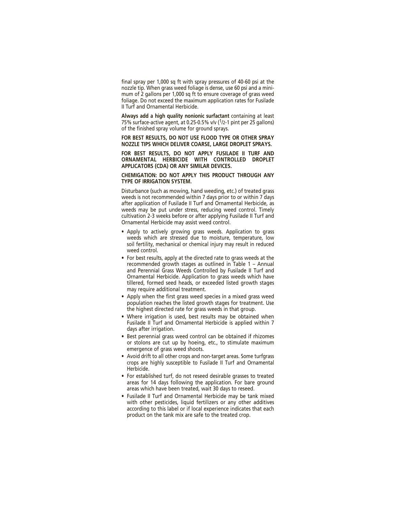final spray per 1,000 sq ft with spray pressures of 40-60 psi at the nozzle tip. When grass weed foliage is dense, use 60 psi and a minimum of 2 gallons per 1,000 sq ft to ensure coverage of grass weed foliage. Do not exceed the maximum application rates for Fusilade II Turf and Ornamental Herbicide.

**Always add a high quality nonionic surfactant** containing at least 75% surface-active agent, at 0.25-0.5% v/v  $(1/2-1)$  pint per 25 gallons) of the finished spray volume for ground sprays.

**FOR BEST RESULTS, DO NOT USE FLOOD TYPE OR OTHER SPRAY NOZZLE TIPS WHICH DELIVER COARSE, LARGE DROPLET SPRAYS.**

**FOR BEST RESULTS, DO NOT APPLY FUSILADE II TURF AND ORNAMENTAL HERBICIDE WITH CONTROLLED DROPLET APPLICATORS (CDA) OR ANY SIMILAR DEVICES.**

**CHEMIGATION: DO NOT APPLY THIS PRODUCT THROUGH ANY TYPE OF IRRIGATION SYSTEM.**

Disturbance (such as mowing, hand weeding, etc.) of treated grass weeds is not recommended within 7 days prior to or within 7 days after application of Fusilade II Turf and Ornamental Herbicide, as weeds may be put under stress, reducing weed control. Timely cultivation 2-3 weeks before or after applying Fusilade II Turf and Ornamental Herbicide may assist weed control.

- Apply to actively growing grass weeds. Application to grass weeds which are stressed due to moisture, temperature, low soil fertility, mechanical or chemical injury may result in reduced weed control.
- For best results, apply at the directed rate to grass weeds at the recommended growth stages as outlined in Table 1 – Annual and Perennial Grass Weeds Controlled by Fusilade II Turf and Ornamental Herbicide. Application to grass weeds which have tillered, formed seed heads, or exceeded listed growth stages may require additional treatment.
- Apply when the first grass weed species in a mixed grass weed population reaches the listed growth stages for treatment. Use the highest directed rate for grass weeds in that group.
- Where irrigation is used, best results may be obtained when Fusilade II Turf and Ornamental Herbicide is applied within 7 days after irrigation.
- Best perennial grass weed control can be obtained if rhizomes or stolons are cut up by hoeing, etc., to stimulate maximum emergence of grass weed shoots.
- Avoid drift to all other crops and non-target areas. Some turfgrass crops are highly susceptible to Fusilade II Turf and Ornamental Herbicide.
- For established turf, do not reseed desirable grasses to treated areas for 14 days following the application. For bare ground areas which have been treated, wait 30 days to reseed.
- Fusilade II Turf and Ornamental Herbicide may be tank mixed with other pesticides, liquid fertilizers or any other additives according to this label or if local experience indicates that each product on the tank mix are safe to the treated crop.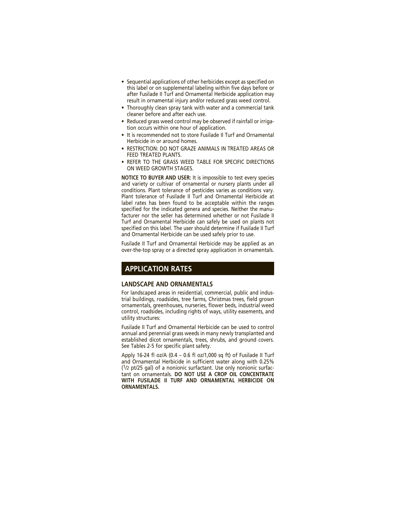- Sequential applications of other herbicides except as specified on this label or on supplemental labeling within five days before or after Fusilade II Turf and Ornamental Herbicide application may result in ornamental injury and/or reduced grass weed control.
- Thoroughly clean spray tank with water and a commercial tank cleaner before and after each use.
- Reduced grass weed control may be observed if rainfall or irrigation occurs within one hour of application.
- It is recommended not to store Fusilade II Turf and Ornamental Herbicide in or around homes.
- RESTRICTION: DO NOT GRAZE ANIMALS IN TREATED AREAS OR FEED TREATED PLANTS.
- REFER TO THE GRASS WEED TABLE FOR SPECIFIC DIRECTIONS ON WEED GROWTH STAGES.

**NOTICE TO BUYER AND USER:** It is impossible to test every species and variety or cultivar of ornamental or nursery plants under all conditions. Plant tolerance of pesticides varies as conditions vary. Plant tolerance of Fusilade II Turf and Ornamental Herbicide at label rates has been found to be acceptable within the ranges specified for the indicated genera and species. Neither the manufacturer nor the seller has determined whether or not Fusilade II Turf and Ornamental Herbicide can safely be used on plants not specified on this label. The user should determine if Fusilade II Turf and Ornamental Herbicide can be used safely prior to use.

Fusilade II Turf and Ornamental Herbicide may be applied as an over-the-top spray or a directed spray application in ornamentals.

## **APPLICATION RATES**

#### **LANDSCAPE AND ORNAMENTALS**

For landscaped areas in residential, commercial, public and industrial buildings, roadsides, tree farms, Christmas trees, field grown ornamentals, greenhouses, nurseries, flower beds, industrial weed control, roadsides, including rights of ways, utility easements, and utility structures:

Fusilade II Turf and Ornamental Herbicide can be used to control annual and perennial grass weeds in many newly transplanted and established dicot ornamentals, trees, shrubs, and ground covers. See Tables 2-5 for specific plant safety.

Apply 16-24 fl oz/A (0.4 – 0.6 fl oz/1,000 sq ft) of Fusilade II Turf and Ornamental Herbicide in sufficient water along with 0.25%  $(1/2$  pt/25 gal) of a nonionic surfactant. Use only nonionic surfactant on ornamentals. **DO NOT USE A CROP OIL CONCENTRATE WITH FUSILADE II TURF AND ORNAMENTAL HERBICIDE ON ORNAMENTALS.**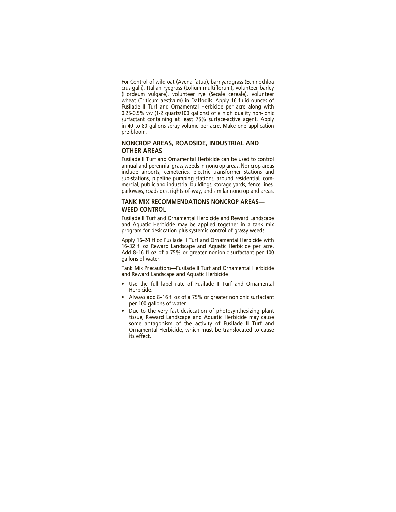For Control of wild oat (Avena fatua), barnyardgrass (Echinochloa crus-galli), Italian ryegrass (Lolium multiflorum), volunteer barley (Hordeum vulgare), volunteer rye (Secale cereale), volunteer wheat (Triticum aestivum) in Daffodils. Apply 16 fluid ounces of Fusilade II Turf and Ornamental Herbicide per acre along with 0.25-0.5% v/v (1-2 quarts/100 gallons) of a high quality non-ionic surfactant containing at least 75% surface-active agent. Apply in 40 to 80 gallons spray volume per acre. Make one application pre-bloom.

#### **NONCROP AREAS, ROADSIDE, INDUSTRIAL AND OTHER AREAS**

Fusilade II Turf and Ornamental Herbicide can be used to control annual and perennial grass weeds in noncrop areas. Noncrop areas include airports, cemeteries, electric transformer stations and sub- stations, pipeline pumping stations, around residential, commercial, public and industrial buildings, storage yards, fence lines, parkways, roadsides, rights-of-way, and similar noncropland areas.

#### **TANK MIX RECOMMENDATIONS NONCROP AREAS— WEED CONTROL**

Fusilade II Turf and Ornamental Herbicide and Reward Landscape and Aquatic Herbicide may be applied together in a tank mix program for desiccation plus systemic control of grassy weeds.

Apply 16–24 fl oz Fusilade II Turf and Ornamental Herbicide with 16–32 fl oz Reward Landscape and Aquatic Herbicide per acre. Add 8–16 fl oz of a 75% or greater nonionic surfactant per 100 gallons of water.

Tank Mix Precautions—Fusilade II Turf and Ornamental Herbicide and Reward Landscape and Aquatic Herbicide

- Use the full label rate of Fusilade II Turf and Ornamental Herbicide.
- Always add 8–16 fl oz of a 75% or greater nonionic surfactant per 100 gallons of water.
- Due to the very fast desiccation of photosynthesizing plant tissue, Reward Landscape and Aquatic Herbicide may cause some antagonism of the activity of Fusilade II Turf and Ornamental Herbicide, which must be translocated to cause its effect.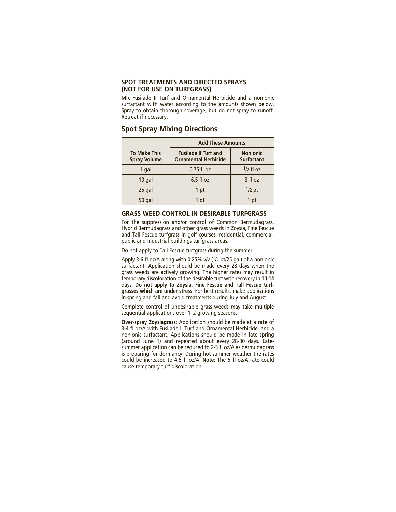#### **SPOT TREATMENTS AND DIRECTED SPRAYS (NOT FOR USE ON TURFGRASS)**

Mix Fusilade II Turf and Ornamental Herbicide and a nonionic surfactant with water according to the amounts shown below. Spray to obtain thorough coverage, but do not spray to runoff. Retreat if necessary.

#### **Spot Spray Mixing Directions**

|                                            | <b>Add These Amounts</b>                                   |                                      |
|--------------------------------------------|------------------------------------------------------------|--------------------------------------|
| <b>To Make This</b><br><b>Spray Volume</b> | <b>Fusilade II Turf and</b><br><b>Ornamental Herbicide</b> | <b>Nonionic</b><br><b>Surfactant</b> |
| 1 gal                                      | $0.75$ fl oz                                               | $1/2$ fl oz                          |
| $10$ gal                                   | $6.5f$ loz                                                 | 3 fl oz                              |
| 25 gal                                     | 1 pt                                                       | $1/2$ pt                             |
| 50 gal                                     | 1 at                                                       | 1 pt                                 |

#### **GRASS WEED CONTROL IN DESIRABLE TURFGRASS**

For the suppression and/or control of Common Bermudagrass, Hybrid Bermudagrass and other grass weeds in Zoysia, Fine Fescue and Tall Fescue turfgrass in golf courses, residential, commercial, public and industrial buildings turfgrass areas.

Do not apply to Tall Fescue turfgrass during the summer.

Apply 3-6 fl oz/A along with 0.25% v/v (1/2 pt/25 gal) of a nonionic surfactant. Application should be made every 28 days when the grass weeds are actively growing. The higher rates may result in temporary discoloration of the desirable turf with recovery in 10-14 days. **Do not apply to Zoysia, Fine Fescue and Tall Fescue turfgrasses which are under stress.** For best results, make applications in spring and fall and avoid treatments during July and August.

Complete control of undesirable grass weeds may take multiple sequential applications over 1–2 growing seasons.

**Over-spray Zoysiagrass:** Application should be made at a rate of 3-4 fl oz/A with Fusilade II Turf and Ornamental Herbicide, and a nonionic surfactant. Applications should be made in late spring (around June 1) and repeated about every 28-30 days. Latesummer application can be reduced to 2-3 fl oz/A as bermudagrass is preparing for dormancy. During hot summer weather the rates could be increased to 4-5 fl oz/A. **Note:** The 5 fl oz/A rate could cause temporary turf discoloration.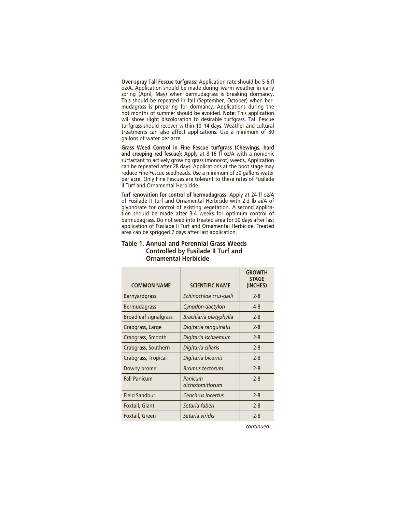**Over-spray Tall Fescue turfgrass:** Application rate should be 5-6 fl oz/A. Application should be made during warm weather in early spring (April, May) when bermudagrass is breaking dormancy. This should be repeated in fall (September, October) when bermudagrass is preparing for dormancy. Applications during the hot months of summer should be avoided. **Note:** This application will show slight discoloration to desirable turfgrass. Tall Fescue turfgrass should recover within 10–14 days. Weather and cultural treatments can also affect applications. Use a minimum of 30 gallons of water per acre.

**Grass Weed Control in Fine Fescue turfgrass (Chewings, hard and creeping red fescue):** Apply at 8-16 fl oz/A with a nonionic surfactant to actively growing grass (monocot) weeds. Application can be repeated after 28 days. Applications at the boot stage may reduce Fine Fescue seedheads. Use a minimum of 30 gallons water per acre. Only Fine Fescues are tolerant to these rates of Fusilade II Turf and Ornamental Herbicide.

**Turf renovation for control of bermudagrass:** Apply at 24 fl oz/A of Fusilade II Turf and Ornamental Herbicide with 2-3 lb ai/A of glyphosate for control of existing vegetation. A second application should be made after 3-4 weeks for optimum control of bermudagrass. Do not seed into treated area for 30 days after last application of Fusilade II Turf and Ornamental Herbicide. Treated area can be sprigged 7 days after last application.

| <b>COMMON NAME</b>           | <b>SCIENTIFIC NAME</b>     | <b>GROWTH</b><br><b>STAGE</b><br>(INCHES) |
|------------------------------|----------------------------|-------------------------------------------|
| <b>Barnyardgrass</b>         | Echinochloa crus-galli     | $2 - 8$                                   |
| <b>Bermudagrass</b>          | Cynodon dactylon           | 4-8                                       |
| <b>Broadleaf signalgrass</b> | Brachiaria platyphylla     | $2 - 8$                                   |
| Crabgrass, Large             | Digitaria sanguinalis      | $2 - 8$                                   |
| Crabgrass, Smooth            | Digitaria ischaemum        | $2 - 8$                                   |
| Crabgrass, Southern          | Digitaria ciliaris         | $2 - 8$                                   |
| Crabgrass, Tropical          | Digitaria bicornis         | $2 - 8$                                   |
| Downy brome                  | Bromus tectorum            | $2 - 8$                                   |
| <b>Fall Panicum</b>          | Panicum<br>dichotomiflorum | $2 - 8$                                   |
| <b>Field Sandbur</b>         | Cenchrus incertus          | $2 - 8$                                   |
| Foxtail, Giant               | Setaria faberi             | $2 - 8$                                   |
| Foxtail, Green               | Setaria viridis            | $2 - 8$                                   |

#### **Table 1. Annual and Perennial Grass Weeds Controlled by Fusilade II Turf and Ornamental Herbicide**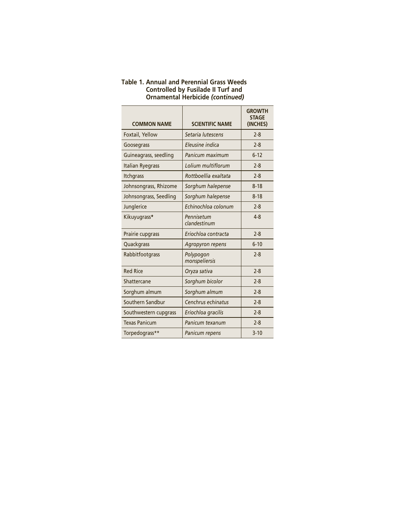| <b>COMMON NAME</b>      | <b>SCIENTIFIC NAME</b>     | <b>GROWTH</b><br><b>STAGE</b><br>(INCHES) |
|-------------------------|----------------------------|-------------------------------------------|
| Foxtail, Yellow         | Setaria lutescens          | $2 - 8$                                   |
| Goosegrass              | Eleusine indica            | $2 - 8$                                   |
| Guineagrass, seedling   | Panicum maximum            | $6 - 12$                                  |
| <b>Italian Ryegrass</b> | Lolium multiflorum         | $2 - 8$                                   |
| <b>Itchgrass</b>        | Rottboellia exaltata       | $2 - 8$                                   |
| Johnsongrass, Rhizome   | Sorghum halepense          | $8 - 18$                                  |
| Johnsongrass, Seedling  | Sorghum halepense          | $8 - 18$                                  |
| Junglerice              | Echinochloa colonum        | $2 - 8$                                   |
| Kikuyugrass*            | Pennisetum<br>clandestinum | $4 - 8$                                   |
| Prairie cupgrass        | Eriochloa contracta        | $2 - 8$                                   |
| Quackgrass              | Agropyron repens           | $6 - 10$                                  |
| Rabbitfootgrass         | Polypogon<br>monspeliersis | $2 - 8$                                   |
| <b>Red Rice</b>         | Oryza sativa               | $2 - 8$                                   |
| Shattercane             | Sorghum bicolor            | $2 - 8$                                   |
| Sorghum almum           | Sorghum almum              | $2 - 8$                                   |
| Southern Sandbur        | Cenchrus echinatus         | $2 - 8$                                   |
| Southwestern cupgrass   | Eriochloa gracilis         | $2 - 8$                                   |
| <b>Texas Panicum</b>    | Panicum texanum            | $2 - 8$                                   |
| Torpedograss**          | Panicum repens             | $3 - 10$                                  |

#### **Table 1. Annual and Perennial Grass Weeds Controlled by Fusilade II Turf and Ornamental Herbicide** *(continued)*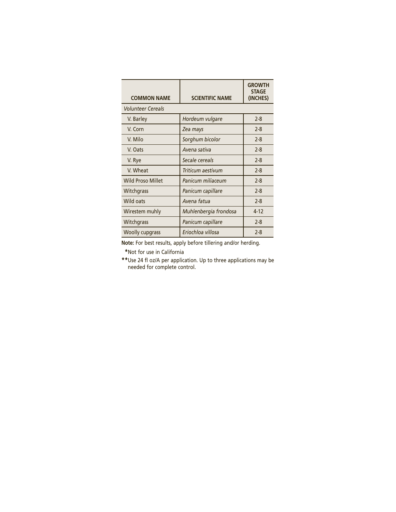| <b>COMMON NAME</b>       | <b>SCIENTIFIC NAME</b> | <b>GROWTH</b><br><b>STAGE</b><br>(INCHES) |
|--------------------------|------------------------|-------------------------------------------|
| <b>Volunteer Cereals</b> |                        |                                           |
| V. Barley                | Hordeum vulgare        | $2 - 8$                                   |
| V. Corn                  | Zea mays               | $2 - 8$                                   |
| V. Milo                  | Sorghum bicolor        | $2 - 8$                                   |
| V. Oats                  | Avena sativa           | $2 - 8$                                   |
| V. Rye                   | Secale cereals         | $2 - 8$                                   |
| V. Wheat                 | Triticum aestivum      | $2 - 8$                                   |
| <b>Wild Proso Millet</b> | Panicum miliaceum      | $2 - 8$                                   |
| Witchgrass               | Panicum capillare      | $2 - 8$                                   |
| Wild oats                | Avena fatua            | $2 - 8$                                   |
| Wirestem muhly           | Muhlenbergia frondosa  | $4 - 12$                                  |
| Witchgrass               | Panicum capillare      | $2 - 8$                                   |
| <b>Woolly cupgrass</b>   | Eriochloa villosa      | $2 - 8$                                   |

**Note:** For best results, apply before tillering and/or herding.

**\***Not for use in California

**\*\***Use 24 fl oz/A per application. Up to three applications may be needed for complete control.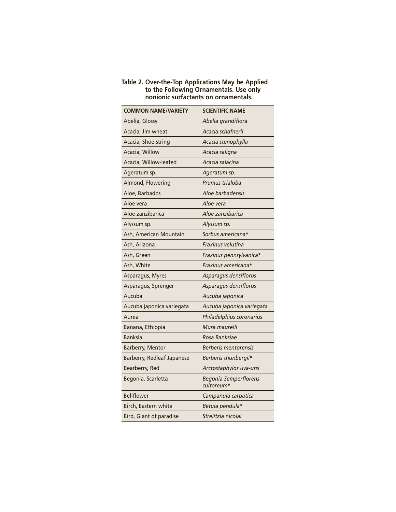| <b>COMMON NAME/VARIETY</b>        | <b>SCIENTIFIC NAME</b>                     |
|-----------------------------------|--------------------------------------------|
| Abelia, Glossy                    | Abelia grandiflora                         |
| Acacia, Jim wheat                 | Acacia schafnerii                          |
| Acacia, Shoe-string               | Acacia stenophylla                         |
| Acacia, Willow                    | Acacia saligna                             |
| Acacia, Willow-leafed             | Acacia salacina                            |
| Ageratum sp.                      | Ageratum sp.                               |
| Almond, Flowering                 | Prumus trialoba                            |
| Aloe, Barbados                    | Aloe barbadensis                           |
| Aloe vera                         | Aloe vera                                  |
| Aloe zanzibarica                  | Aloe zanzibarica                           |
| Alyssum sp.                       | Alyssum sp.                                |
| Ash, American Mountain            | Sorbus americana*                          |
| Ash, Arizona                      | Fraxinus velutina                          |
| Ash, Green                        | Fraxinus pennsylvanica*                    |
| Ash, White                        | Fraxinus americana*                        |
| Asparagus, Myres                  | Asparagus densiflorus                      |
| Asparagus, Sprenger               | Asparagus densiflorus                      |
| Aucuba                            | Aucuba japonica                            |
| Aucuba japonica variegata         | Aucuba japonica variegata                  |
| Aurea                             | Philadelphius coronarius                   |
| Banana, Ethiopia                  | Musa maurelli                              |
| <b>Banksia</b>                    | Rosa Banksiae                              |
| Barberry, Mentor                  | <b>Berberis mentorensis</b>                |
| <b>Barberry, Redleaf Japanese</b> | Berberis thunbergii*                       |
| Bearberry, Red                    | Arctostaphylos uva-ursi                    |
| Begonia, Scarletta                | <b>Begonia Semperflorens</b><br>cultoreum* |
| <b>Bellflower</b>                 | Campanula carpatica                        |
| Birch, Eastern white              | Betula pendula*                            |
| Bird, Giant of paradise           | Strelitzia nicolai                         |

#### **Table 2. Over-the-Top Applications May be Applied to the Following Ornamentals. Use only nonionic surfactants on ornamentals.**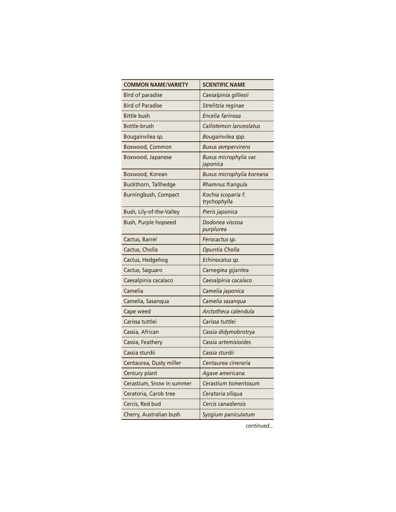| <b>COMMON NAME/VARIETY</b> | <b>SCIENTIFIC NAME</b>             |
|----------------------------|------------------------------------|
| <b>Bird of paradise</b>    | Caesalpinia gilliesii              |
| <b>Bird of Paradise</b>    | Strelitzia reginae                 |
| <b>Bittle bush</b>         | Encelia farinosa                   |
| Bottle-brush               | Callistemon lanceolatus            |
| Bougainvilea sp.           | Bougainvilea spp.                  |
| Boxwood, Common            | <b>Buxus sempervirens</b>          |
| Boxwood, Japanese          | Buxus microphylia var.<br>japonica |
| Boxwood, Korean            | Buxus microphylia koreana          |
| Buckthorn, Tallhedge       | Rhamnus frangula                   |
| Burningbush, Compact       | Kochia scoparia f.<br>trychophylla |
| Bush, Lily-of-the-Valley   | Pieris japonica                    |
| Bush, Purple hopseed       | Dodonea viscosa<br>purplurea       |
| Cactus, Barrel             | Ferocactus sp.                     |
| Cactus, Cholla             | Opuntia Cholla                     |
| Cactus, Hedgehog           | Echinocatus sp.                    |
| Cactus, Saguaro            | Carnegiea gijantea                 |
| Caesalpinia cacalaco       | Caesalpinia cacalaco               |
| Camelia                    | Camelia japonica                   |
| Camelia, Sasanqua          | Camelia sasanqua                   |
| Cape weed                  | Arctotheca calendula               |
| Carissa tuttlei            | Carissa tuttlei                    |
| Cassia, African            | Cassia didymobrotrya               |
| Cassia, Feathery           | Cassia artemisioides               |
| Cassia sturdii             | Cassia sturdii                     |
| Centaurea, Dusty miller    | Centaurea cineraria                |
| Century plant              | Agave americana                    |
| Cerastium, Snow in summer  | Cerastium tomentosum               |
| Ceratoria, Carob tree      | Ceratoria siliqua                  |
| Cercis, Red bud            | Cercis canadiensis                 |
| Cherry, Australian bush    | Syzgium paniculatum                |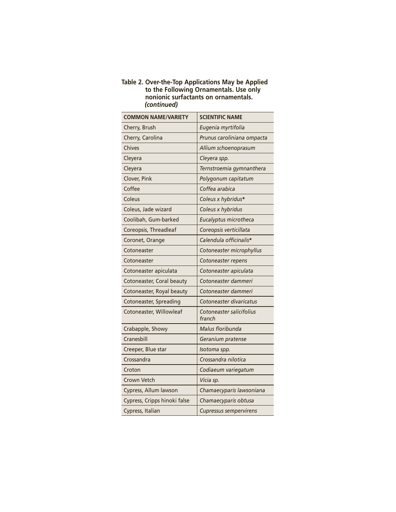#### **Table 2. Over-the-Top Applications May be Applied to the Following Ornamentals. Use only nonionic surfactants on ornamentals.** *(continued)*

| <b>COMMON NAME/VARIETY</b>   | <b>SCIENTIFIC NAME</b>             |
|------------------------------|------------------------------------|
| Cherry, Brush                | Eugenia myrtifolia                 |
| Cherry, Carolina             | Prunus caroliniana ompacta         |
| Chives                       | Allium schoenoprasum               |
| Cleyera                      | Cleyera spp.                       |
| Cleyera                      | Ternstroemia gymnanthera           |
| Clover, Pink                 | Polygonum capitatum                |
| Coffee                       | Coffea arabica                     |
| Coleus                       | Coleus x hybridus*                 |
| Coleus, Jade wizard          | Coleus x hybridus                  |
| Coolibah, Gum-barked         | Eucalyptus microtheca              |
| Coreopsis, Threadleaf        | Coreopsis verticillata             |
| Coronet, Orange              | Calendula officinalis*             |
| Cotoneaster                  | Cotoneaster microphyllus           |
| Cotoneaster                  | Cotoneaster repens                 |
| Cotoneaster apiculata        | Cotoneaster apiculata              |
| Cotoneaster, Coral beauty    | Cotoneaster dammeri                |
| Cotoneaster, Royal beauty    | Cotoneaster dammeri                |
| Cotoneaster, Spreading       | Cotoneaster divaricatus            |
| Cotoneaster, Willowleaf      | Cotoneaster salicifolius<br>franch |
| Crabapple, Showy             | Malus floribunda                   |
| Cranesbill                   | Geranium pratense                  |
| Creeper, Blue star           | Isotoma spp.                       |
| Crossandra                   | Crossandra nilotica                |
| Croton                       | Codiaeum variegatum                |
| <b>Crown Vetch</b>           | Vicia sp.                          |
| Cypress, Allum lawson        | Chamaecyparis lawsoniana           |
| Cypress, Cripps hinoki false | Chamaecyparis obtusa               |
| Cypress, Italian             | <b>Cupressus sempervirens</b>      |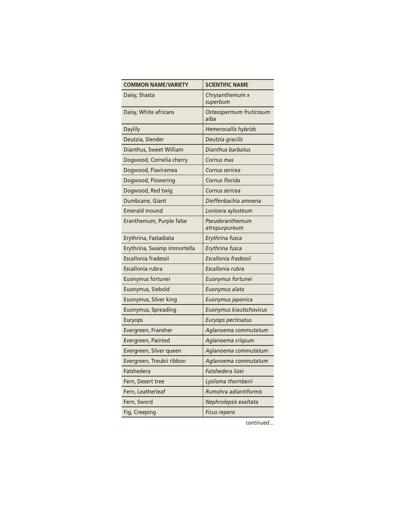| <b>COMMON NAME/VARIETY</b>  | <b>SCIENTIFIC NAME</b>           |
|-----------------------------|----------------------------------|
| Daisy, Shasta               | Chrysanthemum x<br>superbum      |
| Daisy, White africans       | Osteospermum fruticosum<br>alba  |
| <b>Daylily</b>              | Hemerocallis hybrids             |
| Deutzia, Slender            | Deutzia gracilis                 |
| Dianthus, Sweet William     | Dianthus barbatus                |
| Dogwood, Cornelia cherry    | Cornus mas                       |
| Dogwood, Flaviramea         | Cornus sericea                   |
| Dogwood, Flowering          | Cornus florida                   |
| Dogwood, Red twig           | Cornus sericea                   |
| Dumbcane, Giant             | Dieffenbachia amoena             |
| <b>Emerald mound</b>        | Lonicera xylosteum               |
| Eranthemum, Purple false    | Pseuderanthemum<br>atropurpureum |
| Erythrina, Fastadiata       | Erythrina fusca                  |
| Erythrina, Swamp immortella | Erythrina fusca                  |
| Escallonia fradessii        | Escallonia fradessii             |
| Escallonia rubra            | Escallonia rubra                 |
| Euonymus fortunei           | Euonymus fortunei                |
| Euonymus, Siebold           | Euonymus alata                   |
| Euonymus, Silver king       | Euonymus japonica                |
| Euonymus, Spreading         | Euonymus kiautschovicus          |
| <b>Euryops</b>              | Euryops pectinatus               |
| Evergreen, Fransher         | Aglanoema commutatum             |
| Evergreen, Painted          | Aglanoema crispum                |
| Evergreen, Silver queen     | Aglanoema commutatum             |
| Evergreen, Treubii ribbon   | Aglanoema commutatum             |
| Fatshedera                  | Fatshedera lizei                 |
| Fern, Desert tree           | Lysiloma thornberii              |
| Fern, Leatherleaf           | Rumohra adiantiformis            |
| Fern, Sword                 | Nephrolepsis exaltata            |
| Fig, Creeping               | Ficus repens                     |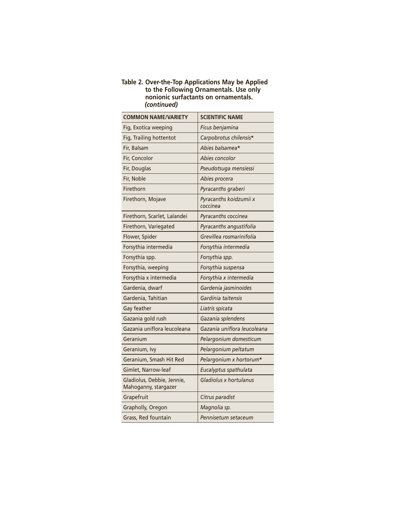#### **Table 2. Over-the-Top Applications May be Applied to the Following Ornamentals. Use only nonionic surfactants on ornamentals.** *(continued)*

| <b>COMMON NAME/VARIETY</b>                         | <b>SCIENTIFIC NAME</b>             |
|----------------------------------------------------|------------------------------------|
| Fig, Exotica weeping                               | Ficus benjamina                    |
| Fig, Trailing hottentot                            | Carpobrotus chilensis*             |
| Fir, Balsam                                        | Abies balsamea*                    |
| Fir, Concolor                                      | Abies concolor                     |
| Fir, Douglas                                       | Pseudotsuga mensiessi              |
| Fir, Noble                                         | Abies procera                      |
| Firethorn                                          | Pyracanths graberi                 |
| Firethorn, Mojave                                  | Pyracanths koidzumii x<br>coccinea |
| Firethorn, Scarlet, Lalandei                       | Pyracanths coccinea                |
| Firethorn, Variegated                              | Pyracanths angustifolia            |
| Flower, Spider                                     | Grevillea rosmarinifolia           |
| Forsythia intermedia                               | Forsythia intermedia               |
| Forsythia spp.                                     | Forsythia spp.                     |
| Forsythia, weeping                                 | Forsythia suspensa                 |
| Forsythia x intermedia                             | Forsythia x intermedia             |
| Gardenia, dwarf                                    | Gardenia jasminoides               |
| Gardenia, Tahitian                                 | Gardinia taitensis                 |
| Gay feather                                        | Liatris spicata                    |
| Gazania gold rush                                  | Gazania splendens                  |
| Gazania uniflora leucoleana                        | Gazania uniflora leucoleana        |
| Geranium                                           | Pelargonium domesticum             |
| Geranium, Ivy                                      | Pelargonium peltatum               |
| Geranium, Smash Hit Red                            | Pelargonium x hortorum*            |
| Gimlet, Narrow-leaf                                | Eucalyptus spathulata              |
| Gladiolus, Debbie, Jennie,<br>Mahoganny, stargazer | Gladiolus x hortulanus             |
| Grapefruit                                         | Citrus paradist                    |
| Grapholly, Oregon                                  | Magnolia sp.                       |
| Grass, Red fountain                                | Pennisetum setaceum                |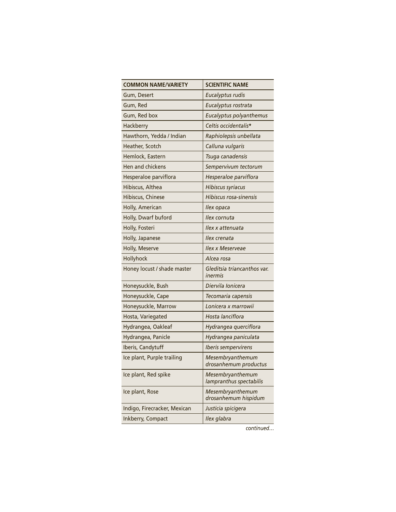| <b>COMMON NAME/VARIETY</b>   | <b>SCIENTIFIC NAME</b>                      |
|------------------------------|---------------------------------------------|
| Gum, Desert                  | Eucalyptus rudis                            |
| Gum, Red                     | Eucalyptus rostrata                         |
| Gum, Red box                 | Eucalyptus polyanthemus                     |
| Hackberry                    | Celtis occidentalis*                        |
| Hawthorn, Yedda / Indian     | Raphiolepsis unbellata                      |
| Heather, Scotch              | Calluna vulgaris                            |
| Hemlock, Eastern             | Tsuga canadensis                            |
| Hen and chickens             | Sempervivum tectorum                        |
| Hesperaloe parviflora        | Hesperaloe parviflora                       |
| Hibiscus, Althea             | Hibiscus syriacus                           |
| Hibiscus, Chinese            | Hibiscus rosa-sinensis                      |
| Holly, American              | <i>llex opaca</i>                           |
| Holly, Dwarf buford          | llex cornuta                                |
| Holly, Fosteri               | Ilex x attenuata                            |
| Holly, Japanese              | llex crenata                                |
| Holly, Meserve               | <b>Ilex x Meserveae</b>                     |
| Hollyhock                    | Alcea rosa                                  |
| Honey locust / shade master  | Gleditsia triancanthos var.<br>inermis      |
| Honeysuckle, Bush            | Diervila Ionicera                           |
| Honeysuckle, Cape            | Tecomaria capensis                          |
| Honeysuckle, Marrow          | Lonicera x marrowii                         |
| Hosta, Variegated            | Hosta lanciflora                            |
| Hydrangea, Oakleaf           | Hydrangea querciflora                       |
| Hydrangea, Panicle           | Hydrangea paniculata                        |
| Iberis, Candytuff            | Iberis sempervirens                         |
| Ice plant, Purple trailing   | Mesembryanthemum<br>drosanhemum productus   |
| Ice plant, Red spike         | Mesembryanthemum<br>lampranthus spectabilis |
| Ice plant, Rose              | Mesembryanthemum<br>drosanhemum hispidum    |
| Indigo, Firecracker, Mexican | Justicia spicigera                          |
| Inkberry, Compact            | Ilex glabra                                 |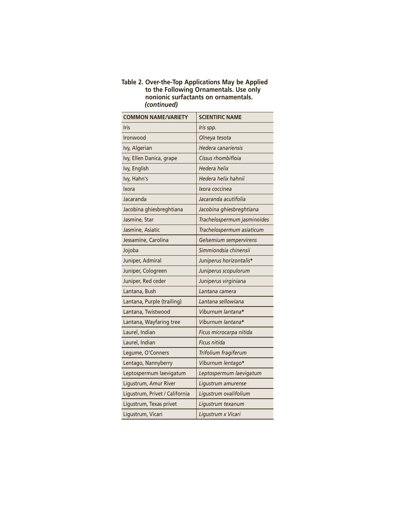#### **Table 2. Over-the-Top Applications May be Applied to the Following Ornamentals. Use only nonionic surfactants on ornamentals.** *(continued)*

| <b>COMMON NAME/VARIETY</b>     | <b>SCIENTIFIC NAME</b>      |
|--------------------------------|-----------------------------|
| <b>Iris</b>                    | Iris spp.                   |
| Ironwood                       | Olneya tesota               |
| lvy, Algerian                  | Hedera canariensis          |
| Ivy, Ellen Danica, grape       | Cissus rhombifloja          |
| Ivy, English                   | Hedera helix                |
| Ivy, Hahn's                    | Hedera helix hahnii         |
| Ixora                          | Ixora coccinea              |
| Jacaranda                      | Jacaranda acutifolia        |
| Jacobina ghiesbreghtiana       | Jacobina ghiesbreghtiana    |
| Jasmine, Star                  | Trachelospermum jasminoides |
| Jasmine, Asiatic               | Trachelospermum asiaticum   |
| Jessamine, Carolina            | Gelsemium sempervirens      |
| Jojoba                         | Simmiondsia chinensii       |
| Juniper, Admiral               | Juniperus horizontalis*     |
| Juniper, Cologreen             | Juniperus scopulorum        |
| Juniper, Red ceder             | Juniperus virginiana        |
| Lantana, Bush                  | Lantana camera              |
| Lantana, Purple (trailing)     | Lantana sellowiana          |
| Lantana, Twistwood             | Viburnum lantana*           |
| Lantana, Wayfaring tree        | Viburnum lantana*           |
| Laurel, Indian                 | Ficus microcarpa nitida     |
| Laurel, Indian                 | Ficus nitida                |
| Legume, O'Conners              | Trifolium fragiferum        |
| Lentago, Nannyberry            | Viburnum lentago*           |
| Leptospermum laevigatum        | Leptospermum laevigatum     |
| Ligustrum, Amur River          | Ligustrum amurense          |
| Ligustrum, Privet / California | Ligustrum ovalifolium       |
| Ligustrum, Texas privet        | Ligustrum texanum           |
| Ligustrum, Vicari              | Ligustrum x Vicari          |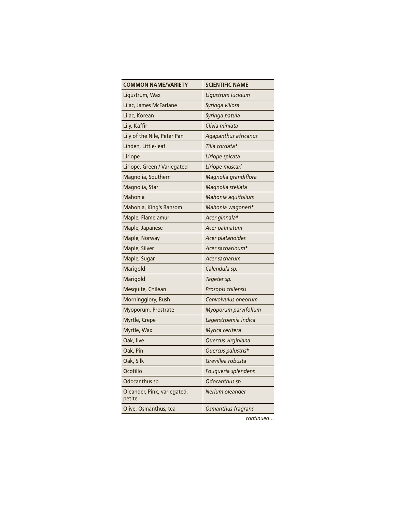| <b>COMMON NAME/VARIETY</b>            | <b>SCIENTIFIC NAME</b> |
|---------------------------------------|------------------------|
| Ligustrum, Wax                        | Ligustrum lucidum      |
| Lilac, James McFarlane                | Syringa villosa        |
| Lilac, Korean                         | Syringa patula         |
| Lily, Kaffir                          | Clivia miniata         |
| Lily of the Nile, Peter Pan           | Agapanthus africanus   |
| Linden, Little-leaf                   | Tilia cordata*         |
| Liriope                               | Liriope spicata        |
| Liriope, Green / Variegated           | Liriope muscari        |
| Magnolia, Southern                    | Magnolia grandiflora   |
| Magnolia, Star                        | Magnolia stellata      |
| Mahonia                               | Mahonia aquifolium     |
| Mahonia, King's Ransom                | Mahonia wagoneri*      |
| Maple, Flame amur                     | Acer ginnala*          |
| Maple, Japanese                       | Acer palmatum          |
| Maple, Norway                         | Acer platanoides       |
| Maple, Silver                         | Acer sacharinum*       |
| Maple, Sugar                          | Acer sacharum          |
| Marigold                              | Calendula sp.          |
| Marigold                              | Tagetes sp.            |
| Mesquite, Chilean                     | Prosopis chilensis     |
| Morningglory, Bush                    | Convolvulus oneorum    |
| Myoporum, Prostrate                   | Myoporum parvifolium   |
| Myrtle, Crepe                         | Lagerstroemia indica   |
| Myrtle, Wax                           | Myrica cerifera        |
| Oak, live                             | Quercus virginiana     |
| Oak, Pin                              | Quercus palustris*     |
| Oak, Silk                             | Grevillea robusta      |
| Ocotillo                              | Fouqueria splendens    |
| Odocanthus sp.                        | Odocanthus sp.         |
| Oleander, Pink, variegated,<br>petite | Nerium oleander        |
| Olive, Osmanthus, tea                 | Osmanthus fragrans     |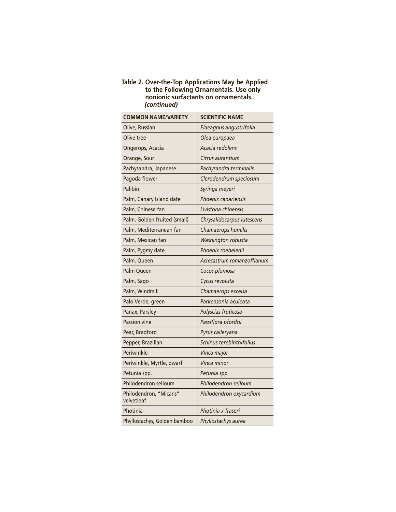#### **Table 2. Over-the-Top Applications May be Applied to the Following Ornamentals. Use only nonionic surfactants on ornamentals.** *(continued)*

| <b>COMMON NAME/VARIETY</b>           | <b>SCIENTIFIC NAME</b>     |
|--------------------------------------|----------------------------|
| Olive, Russian                       | Elaeagnus angustrifolia    |
| Olive tree                           | Olea europaea              |
| Ongerops, Acacia                     | Acacia redolens            |
| Orange, Sour                         | Citrus aurantium           |
| Pachysandra, Japanese                | Pachysandra terminalis     |
| Pagoda flower                        | Clerodendrum speciosum     |
| Palibin                              | Syringa meyeri             |
| Palm, Canary Island date             | Phoenix canariensis        |
| Palm, Chinese fan                    | Livistona chinensis        |
| Palm, Golden fruited (small)         | Chrysalidocarpus lutescens |
| Palm, Mediterranean fan              | Chamaerops humilis         |
| Palm, Mexican fan                    | Washington robusta         |
| Palm, Pygmy date                     | Phoenix roebelenii         |
| Palm, Queen                          | Acrecastrum romanzoffianum |
| Palm Queen                           | Cocos plumosa              |
| Palm, Sago                           | Cycus revoluta             |
| Palm, Windmill                       | Chamaerops excelsa         |
| Palo Verde, green                    | Parkensonia aculeata       |
| Panax, Parsley                       | Polyscias fruticosa        |
| Passion vine                         | Passiflora pfordtii        |
| Pear, Bradford                       | Pyrus calleryana           |
| Pepper, Brazilian                    | Schinus terebinthifolius   |
| Periwinkle                           | Vinca major                |
| Periwinkle, Myrtle, dwarf            | Vinca minor                |
| Petunia spp.                         | Petunia spp.               |
| Philodendron selloum                 | Philodendron selloum       |
| Philodendron, "Micans"<br>velvetleaf | Philodendron oxycardium    |
| Photinia                             | Photinia x fraseri         |
| Phyllostachys, Golden bamboo         | Phyllostachys aurea        |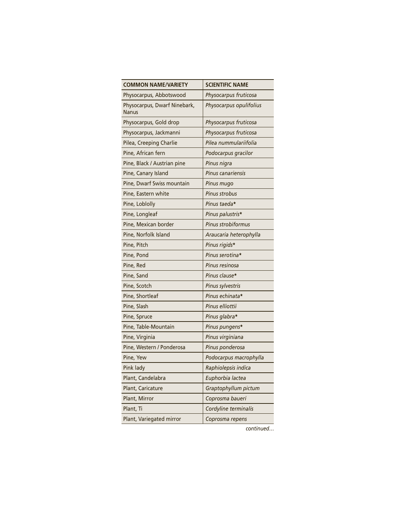| <b>COMMON NAME/VARIETY</b>                   | <b>SCIENTIFIC NAME</b>    |
|----------------------------------------------|---------------------------|
| Physocarpus, Abbotswood                      | Physocarpus fruticosa     |
| Physocarpus, Dwarf Ninebark,<br><b>Nanus</b> | Physocarpus opulifolius   |
| Physocarpus, Gold drop                       | Physocarpus fruticosa     |
| Physocarpus, Jackmanni                       | Physocarpus fruticosa     |
| Pilea, Creeping Charlie                      | Pilea nummulariifolia     |
| Pine, African fern                           | Podocarpus gracilor       |
| Pine, Black / Austrian pine                  | Pinus nigra               |
| Pine, Canary Island                          | <b>Pinus canariensis</b>  |
| Pine, Dwarf Swiss mountain                   | Pinus mugo                |
| Pine, Eastern white                          | <b>Pinus strobus</b>      |
| Pine, Loblolly                               | Pinus taeda*              |
| Pine, Longleaf                               | Pinus palustris*          |
| Pine, Mexican border                         | <b>Pinus strobiformus</b> |
| Pine, Norfolk Island                         | Araucaria heterophylla    |
| Pine, Pitch                                  | Pinus rigids*             |
| Pine, Pond                                   | Pinus serotina*           |
| Pine, Red                                    | Pinus resinosa            |
| Pine, Sand                                   | Pinus clause*             |
| Pine, Scotch                                 | Pinus sylvestris          |
| Pine, Shortleaf                              | Pinus echinata*           |
| Pine, Slash                                  | Pinus elliottii           |
| Pine, Spruce                                 | Pinus glabra*             |
| Pine, Table-Mountain                         | Pinus pungens*            |
| Pine, Virginia                               | Pinus virginiana          |
| Pine, Western / Ponderosa                    | Pinus ponderosa           |
| Pine, Yew                                    | Podocarpus macrophylla    |
| Pink lady                                    | Raphiolepsis indica       |
| Plant, Candelabra                            | Euphorbia lactea          |
| Plant, Caricature                            | Graptophyllum pictum      |
| Plant, Mirror                                | Coprosma baueri           |
| Plant, Ti                                    | Cordyline terminalis      |
| Plant, Variegated mirror                     | Coprosma repens           |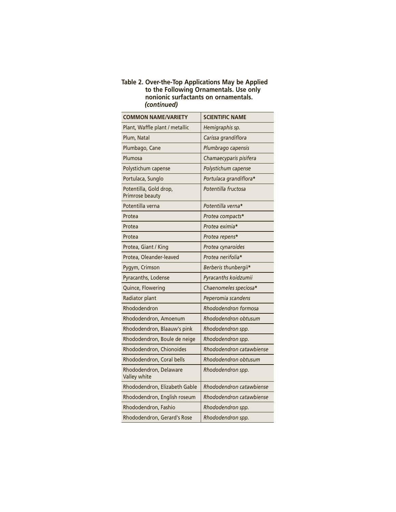#### **Table 2. Over-the-Top Applications May be Applied to the Following Ornamentals. Use only nonionic surfactants on ornamentals.** *(continued)*

| <b>COMMON NAME/VARIETY</b>                | <b>SCIENTIFIC NAME</b>   |
|-------------------------------------------|--------------------------|
| Plant, Waffle plant / metallic            | Hemigraphis sp.          |
| Plum, Natal                               | Carissa grandiflora      |
| Plumbago, Cane                            | Plumbrago capensis       |
| Plumosa                                   | Chamaecyparis pisifera   |
| Polystichum capense                       | Polystichum capense      |
| Portulaca, Sunglo                         | Portulaca grandiflora*   |
| Potentilla, Gold drop,<br>Primrose beauty | Potentilla fructosa      |
| Potentilla verna                          | Potentilla verna*        |
| Protea                                    | Protea compacts*         |
| Protea                                    | Protea eximia*           |
| Protea                                    | Protea repens*           |
| Protea, Giant / King                      | Protea cynaroides        |
| Protea, Oleander-leaved                   | Protea nerifolia*        |
| Pygym, Crimson                            | Berberis thunbergii*     |
| Pyracanths, Lodense                       | Pyracanths koidzumii     |
| Quince, Flowering                         | Chaenomeles speciosa*    |
| Radiator plant                            | Peperomia scandens       |
| Rhododendron                              | Rhododendron formosa     |
| Rhododendron, Amoenum                     | Rhododendron obtusum     |
| Rhododendron, Blaauw's pink               | Rhododendron spp.        |
| Rhododendron, Boule de neige              | Rhododendron spp.        |
| Rhododendron, Chionoides                  | Rhododendron catawbiense |
| Rhododendron, Coral bells                 | Rhododendron obtusum     |
| Rhododendron, Delaware<br>Valley white    | Rhododendron spp.        |
| Rhododendron, Elizabeth Gable             | Rhododendron catawbiense |
| Rhododendron, English roseum              | Rhododendron catawbiense |
| Rhododendron, Fashio                      | Rhododendron spp.        |
| Rhododendron, Gerard's Rose               | Rhododendron spp.        |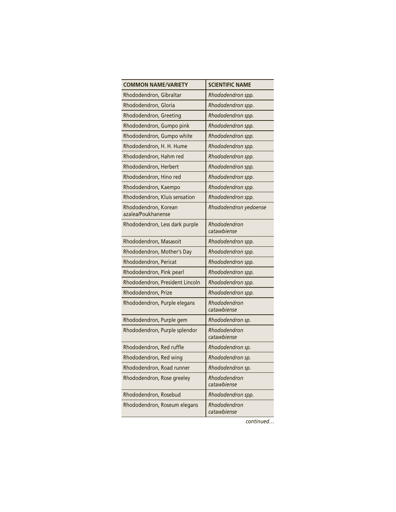| <b>COMMON NAME/VARIETY</b>                 | <b>SCIENTIFIC NAME</b>      |
|--------------------------------------------|-----------------------------|
| Rhododendron, Gibraltar                    | Rhododendron spp.           |
| Rhododendron, Gloria                       | Rhododendron spp.           |
| Rhododendron, Greeting                     | Rhododendron spp.           |
| Rhododendron, Gumpo pink                   | Rhododendron spp.           |
| Rhododendron, Gumpo white                  | Rhododendron spp.           |
| Rhododendron, H. H. Hume                   | Rhododendron spp.           |
| Rhododendron, Hahm red                     | Rhododendron spp.           |
| Rhododendron, Herbert                      | Rhododendron spp.           |
| Rhododendron, Hino red                     | Rhododendron spp.           |
| Rhododendron, Kaempo                       | Rhododendron spp.           |
| Rhododendron, Kluis sensation              | Rhododendron spp.           |
| Rhododendron, Korean<br>azalea/Poukhanense | Rhododendron yedoense       |
| Rhododendron, Less dark purple             | Rhododendron<br>catawbiense |
| Rhododendron, Masasoit                     | Rhododendron spp.           |
| Rhododendron, Mother's Day                 | Rhododendron spp.           |
| Rhododendron, Pericat                      | Rhododendron spp.           |
| Rhododendron, Pink pearl                   | Rhododendron spp.           |
| Rhododendron, President Lincoln            | Rhododendron spp.           |
| Rhododendron, Prize                        | Rhododendron spp.           |
| Rhododendron, Purple elegans               | Rhododendron<br>catawbiense |
| Rhododendron, Purple gem                   | Rhododendron sp.            |
| Rhododendron, Purple splendor              | Rhododendron<br>catawbiense |
| Rhododendron, Red ruffle                   | Rhododendron sp.            |
| Rhododendron, Red wing                     | Rhododendron sp.            |
| Rhododendron, Road runner                  | Rhododendron sp.            |
| Rhododendron, Rose greeley                 | Rhododendron<br>catawbiense |
| Rhododendron, Rosebud                      | Rhododendron spp.           |
| Rhododendron, Roseum elegans               | Rhododendron<br>catawbiense |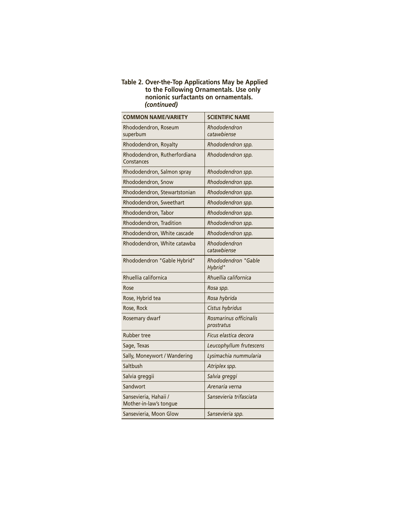#### **Table 2. Over-the-Top Applications May be Applied to the Following Ornamentals. Use only nonionic surfactants on ornamentals.** *(continued)*

| <b>COMMON NAME/VARIETY</b>                      | <b>SCIENTIFIC NAME</b>               |
|-------------------------------------------------|--------------------------------------|
| Rhododendron, Roseum<br>superbum                | Rhododendron<br>catawbiense          |
| Rhododendron, Royalty                           | Rhododendron spp.                    |
| Rhododendron, Rutherfordiana<br>Constances      | Rhododendron spp.                    |
| Rhododendron, Salmon spray                      | Rhododendron spp.                    |
| Rhododendron, Snow                              | Rhododendron spp.                    |
| Rhododendron, Stewartstonian                    | Rhododendron spp.                    |
| Rhododendron, Sweethart                         | Rhododendron spp.                    |
| Rhododendron, Tabor                             | Rhododendron spp.                    |
| Rhododendron, Tradition                         | Rhododendron spp.                    |
| Rhododendron, White cascade                     | Rhododendron spp.                    |
| Rhododendron, White catawba                     | Rhododendron<br>catawbiense          |
| Rhododendron "Gable Hybrid"                     | Rhododendron "Gable<br>Hybrid"       |
| Rhuellia californica                            | Rhuellia californica                 |
| Rose                                            | Rosa spp.                            |
| Rose, Hybrid tea                                | Rosa hybrida                         |
| Rose, Rock                                      | Cistus hybridus                      |
| Rosemary dwarf                                  | Rosmarinus officinalis<br>prostratus |
| <b>Rubber tree</b>                              | Ficus elastica decora                |
| Sage, Texas                                     | Leucophyllum frutescens              |
| Sally, Moneywort / Wandering                    | Lysimachia nummularia                |
| Saltbush                                        | Atriplex spp.                        |
| Salvia greggii                                  | Salvia greggi                        |
| Sandwort                                        | Arenaria verna                       |
| Sansevieria, Hahaii /<br>Mother-in-law's tongue | Sansevieria trifasciata              |
| Sansevieria, Moon Glow                          | Sansevieria spp.                     |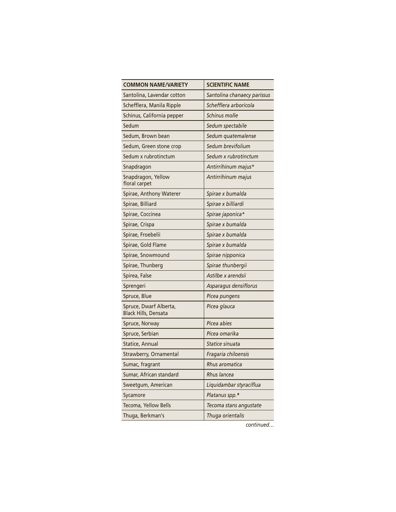| <b>COMMON NAME/VARIETY</b>                            | <b>SCIENTIFIC NAME</b>      |
|-------------------------------------------------------|-----------------------------|
| Santolina, Lavendar cotton                            | Santolina chanaecy parissus |
| Schefflera, Manila Ripple                             | Schefflera arboricola       |
| Schinus, California pepper                            | Schinus molle               |
| Sedum                                                 | Sedum spectabile            |
| Sedum, Brown bean                                     | Sedum quatemalense          |
| Sedum, Green stone crop                               | Sedum brevifolium           |
| Sedum x rubrotinctum                                  | Sedum x rubrotinctum        |
| Snapdragon                                            | Antirrihinum majus*         |
| Snapdragon, Yellow<br>floral carpet                   | Antirrihinum majus          |
| Spirae, Anthony Waterer                               | Spirae x bumalda            |
| Spirae, Billiard                                      | Spirae x billiardi          |
| Spirae, Coccinea                                      | Spirae japonica*            |
| Spirae, Crispa                                        | Spirae x bumalda            |
| Spirae, Froebelii                                     | Spirae x bumalda            |
| Spirae, Gold Flame                                    | Spirae x bumalda            |
| Spirae, Snowmound                                     | Spirae nipponica            |
| Spirae, Thunberg                                      | Spirae thunbergii           |
| Spirea, False                                         | Astilbe x arendsii          |
| Sprengeri                                             | Asparagus densiflorus       |
| Spruce, Blue                                          | Picea pungens               |
| Spruce, Dwarf Alberta,<br><b>Black Hills, Densata</b> | Picea glauca                |
| Spruce, Norway                                        | Picea abies                 |
| Spruce, Serbian                                       | Picea omarika               |
| Statice, Annual                                       | Statice sinuata             |
| Strawberry, Ornamental                                | Fragaria chiloensis         |
| Sumac, fragrant                                       | Rhus aromatica              |
| Sumar, African standard                               | <b>Rhus lancea</b>          |
| Sweetgum, American                                    | Liquidambar styraciflua     |
| Sycamore                                              | Platanus spp.*              |
| Tecoma, Yellow Bells                                  | Tecoma stans angustate      |
| Thuga, Berkman's                                      | Thuga orientalis            |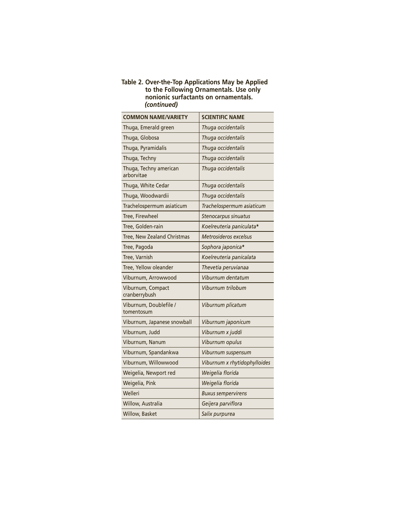#### **Table 2. Over-the-Top Applications May be Applied to the Following Ornamentals. Use only nonionic surfactants on ornamentals.** *(continued)*

| <b>COMMON NAME/VARIETY</b>           | <b>SCIENTIFIC NAME</b>       |
|--------------------------------------|------------------------------|
| Thuga, Emerald green                 | Thuga occidentalis           |
| Thuga, Globosa                       | Thuga occidentalis           |
| Thuga, Pyramidalis                   | Thuga occidentalis           |
| Thuga, Techny                        | Thuga occidentalis           |
| Thuga, Techny american<br>arborvitae | Thuga occidentalis           |
| Thuga, White Cedar                   | Thuga occidentalis           |
| Thuga, Woodwardii                    | Thuga occidentalis           |
| Trachelospermum asiaticum            | Trachelospermum asiaticum    |
| Tree, Firewheel                      | Stenocarpus sinuatus         |
| Tree, Golden-rain                    | Koelreuteria paniculata*     |
| Tree, New Zealand Christmas          | Metrosideros excelsus        |
| Tree, Pagoda                         | Sophora japonica*            |
| Tree, Varnish                        | Koelreuteria panicalata      |
| Tree, Yellow oleander                | Thevetia peruvianaa          |
| Viburnum, Arrowwood                  | Viburnum dentatum            |
| Viburnum, Compact<br>cranberrybush   | Viburnum trilobum            |
| Viburnum, Doublefile /<br>tomentosum | Viburnum plicatum            |
| Viburnum, Japanese snowball          | Viburnum japonicum           |
| Viburnum, Judd                       | Viburnum x juddi             |
| Viburnum, Nanum                      | Viburnum opulus              |
| Viburnum, Spandankwa                 | Viburnum suspensum           |
| Viburnum, Willowwood                 | Viburnum x rhytidophylloides |
| Weigelia, Newport red                | Weigelia florida             |
| Weigelia, Pink                       | Weigelia florida             |
| Welleri                              | <b>Buxus sempervirens</b>    |
| Willow, Australia                    | Geijera parviflora           |
| Willow, Basket                       | Salix purpurea               |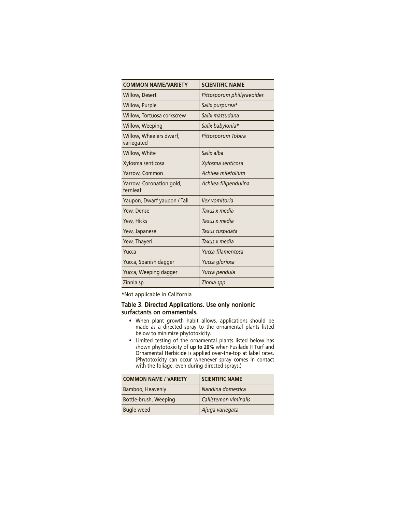| <b>COMMON NAME/VARIETY</b>            | <b>SCIENTIFIC NAME</b>     |
|---------------------------------------|----------------------------|
| <b>Willow, Desert</b>                 | Pittosporum phillyraeoides |
| Willow, Purple                        | Salix purpurea*            |
| Willow, Tortuosa corkscrew            | Salix matsudana            |
| Willow, Weeping                       | Salix babylonia*           |
| Willow, Wheelers dwarf,<br>variegated | Pittosporum Tobira         |
| Willow, White                         | Salix alba                 |
| Xylosma senticosa                     | Xylosma senticosa          |
| Yarrow, Common                        | Achilea milefolium         |
| Yarrow, Coronation gold,<br>fernleaf  | Achilea filipendulina      |
| Yaupon, Dwarf yaupon / Tall           | Ilex vomitoria             |
| Yew, Dense                            | Taxus x media              |
| Yew, Hicks                            | Taxus x media              |
| Yew, Japanese                         | Taxus cuspidata            |
| Yew, Thayeri                          | Taxus x media              |
| Yucca                                 | Yucca filamentosa          |
| Yucca, Spanish dagger                 | Yucca gloriosa             |
| Yucca, Weeping dagger                 | Yucca pendula              |
| Zinnia sp.                            | Zinnia spp.                |

**\***Not applicable in California

#### **Table 3. Directed Applications. Use only nonionic surfactants on ornamentals.**

- When plant growth habit allows, applications should be made as a directed spray to the ornamental plants listed below to minimize phytotoxicity.
- Limited testing of the ornamental plants listed below has shown phytotoxicity of **up to 20%** when Fusilade II Turf and Ornamental Herbicide is applied over-the-top at label rates. (Phytotoxicity can occur whenever spray comes in contact with the foliage, even during directed sprays.)

| <b>COMMON NAME / VARIETY</b> | <b>SCIENTIFIC NAME</b> |
|------------------------------|------------------------|
| Bamboo, Heavenly             | Nandina domestica      |
| Bottle-brush, Weeping        | Callistemon viminalis  |
| <b>Bugle weed</b>            | Ajuga variegata        |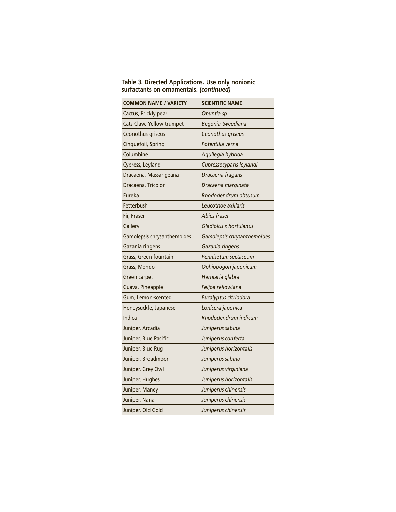|                                         | Table 3. Directed Applications. Use only nonionic |
|-----------------------------------------|---------------------------------------------------|
| surfactants on ornamentals. (continued) |                                                   |

| <b>COMMON NAME / VARIETY</b> | <b>SCIENTIFIC NAME</b>      |
|------------------------------|-----------------------------|
| Cactus, Prickly pear         | Opuntia sp.                 |
| Cats Claw. Yellow trumpet    | Begonia tweediana           |
| Ceonothus griseus            | Ceonothus griseus           |
| Cinquefoil, Spring           | Potentilla verna            |
| Columbine                    | Aquilegia hybrida           |
| Cypress, Leyland             | Cupressocyparis leylandi    |
| Dracaena, Massangeana        | Dracaena fragans            |
| Dracaena, Tricolor           | Dracaena marginata          |
| Eureka                       | Rhododendrum obtusum        |
| Fetterbush                   | Leucothoe axillaris         |
| Fir, Fraser                  | Abies fraser                |
| Gallery                      | Gladiolus x hortulanus      |
| Gamolepsis chrysanthemoides  | Gamolepsis chrysanthemoides |
| Gazania ringens              | Gazania ringens             |
| Grass, Green fountain        | Pennisetum sectaceum        |
| Grass, Mondo                 | Ophiopogon japonicum        |
| Green carpet                 | Herniaria glabra            |
| Guava, Pineapple             | Feijoa sellowiana           |
| Gum, Lemon-scented           | Eucalyptus citriodora       |
| Honeysuckle, Japanese        | Lonicera japonica           |
| Indica                       | Rhododendrum indicum        |
| Juniper, Arcadia             | Juniperus sabina            |
| Juniper, Blue Pacific        | Juniperus conferta          |
| Juniper, Blue Rug            | Juniperus horizontalis      |
| Juniper, Broadmoor           | Juniperus sabina            |
| Juniper, Grey Owl            | Juniperus virginiana        |
| Juniper, Hughes              | Juniperus horizontalis      |
| Juniper, Maney               | Juniperus chinensis         |
| Juniper, Nana                | Juniperus chinensis         |
| Juniper, Old Gold            | Juniperus chinensis         |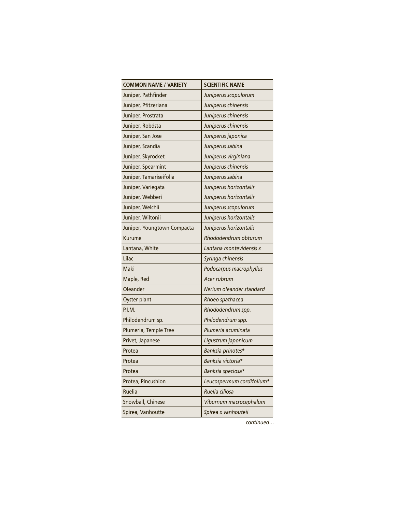| <b>COMMON NAME / VARIETY</b> | <b>SCIENTIFIC NAME</b>    |
|------------------------------|---------------------------|
| Juniper, Pathfinder          | Juniperus scopulorum      |
| Juniper, Pfitzeriana         | Juniperus chinensis       |
| Juniper, Prostrata           | Juniperus chinensis       |
| Juniper, Robdsta             | Juniperus chinensis       |
| Juniper, San Jose            | Juniperus japonica        |
| Juniper, Scandia             | Juniperus sabina          |
| Juniper, Skyrocket           | Juniperus virginiana      |
| Juniper, Spearmint           | Juniperus chinensis       |
| Juniper, Tamariseifolia      | Juniperus sabina          |
| Juniper, Variegata           | Juniperus horizontalis    |
| Juniper, Webberi             | Juniperus horizontalis    |
| Juniper, Welchii             | Juniperus scopulorum      |
| Juniper, Wiltonii            | Juniperus horizontalis    |
| Juniper, Youngtown Compacta  | Juniperus horizontalis    |
| Kurume                       | Rhododendrum obtusum      |
| Lantana, White               | Lantana montevidensis x   |
| Lilac                        | Syringa chinensis         |
| Maki                         | Podocarpus macrophyllus   |
| Maple, Red                   | Acer rubrum               |
| Oleander                     | Nerium oleander standard  |
| Oyster plant                 | Rhoeo spathacea           |
| P.I.M.                       | Rhododendrum spp.         |
| Philodendrum sp.             | Philodendrum spp.         |
| Plumeria, Temple Tree        | Plumeria acuminata        |
| Privet, Japanese             | Ligustrum japonicum       |
| Protea                       | Banksia prinotes*         |
| Protea                       | Banksia victoria*         |
| Protea                       | Banksia speciosa*         |
| Protea, Pincushion           | Leucospermum cordifolium* |
| Ruelia                       | Ruelia ciliosa            |
| Snowball, Chinese            | Viburnum macrocephalum    |
| Spirea, Vanhoutte            | Spirea x vanhouteii       |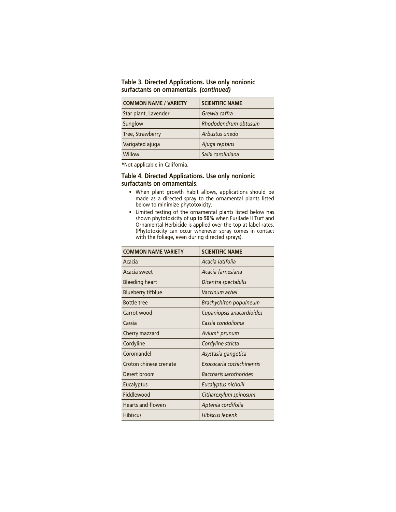| Table 3. Directed Applications. Use only nonionic |  |  |
|---------------------------------------------------|--|--|
| surfactants on ornamentals. (continued)           |  |  |

| <b>COMMON NAME / VARIETY</b> | <b>SCIENTIFIC NAME</b> |
|------------------------------|------------------------|
| Star plant, Lavender         | Grewia caffra          |
| Sunglow                      | Rhododendrum obtusum   |
| Tree, Strawberry             | Arbustus unedo         |
| Varigated ajuga              | Ajuga reptans          |
| Willow                       | Salix caroliniana      |

**\***Not applicable in California.

#### **Table 4. Directed Applications. Use only nonionic surfactants on ornamentals.**

- When plant growth habit allows, applications should be made as a directed spray to the ornamental plants listed below to minimize phytotoxicity.
- Limited testing of the ornamental plants listed below has shown phytotoxicity of **up to 50%** when Fusilade II Turf and Ornamental Herbicide is applied over-the-top at label rates. (Phytotoxicity can occur whenever spray comes in contact with the foliage, even during directed sprays).

| <b>COMMON NAME VARIETY</b> | <b>SCIENTIFIC NAME</b>        |
|----------------------------|-------------------------------|
| Acacia                     | Acacia latifolia              |
| Acacia sweet               | Acacia farnesiana             |
| <b>Bleeding heart</b>      | Dicentra spectabilis          |
| Blueberry tifblue          | Vaccinum achei                |
| <b>Bottle tree</b>         | <b>Brachychiton populneum</b> |
| Carrot wood                | Cupaniopsis anacardioides     |
| Cassia                     | Cassia condolioma             |
| Cherry mazzard             | Avium* prunum                 |
| Cordyline                  | Cordyline stricta             |
| Coromandel                 | Asystasia gangetica           |
| Croton chinese crenate     | Exococaria cochichinensis     |
| Desert broom               | Baccharis sarothorides        |
| <b>Eucalyptus</b>          | Eucalyptus nicholii           |
| Fiddlewood                 | Citharexylum spinosum         |
| <b>Hearts and flowers</b>  | Aptenia cordifolia            |
| <b>Hibiscus</b>            | Hibiscus lepenk               |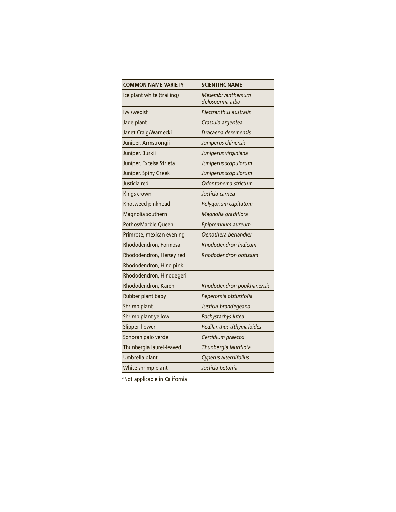| <b>COMMON NAME VARIETY</b> | <b>SCIENTIFIC NAME</b>              |
|----------------------------|-------------------------------------|
| Ice plant white (trailing) | Mesembryanthemum<br>delosperma alba |
| Ivy swedish                | Plectranthus australis              |
| Jade plant                 | Crassula argentea                   |
| Janet Craig/Warnecki       | Dracaena deremensis                 |
| Juniper, Armstrongii       | Juniperus chinensis                 |
| Juniper, Burkii            | Juniperus virginiana                |
| Juniper, Excelsa Strieta   | Juniperus scopulorum                |
| Juniper, Spiny Greek       | Juniperus scopulorum                |
| Justicia red               | Odontonema strictum                 |
| Kings crown                | Justicia carnea                     |
| Knotweed pinkhead          | Polygonum capitatum                 |
| Magnolia southern          | Magnolia gradiflora                 |
| Pothos/Marble Queen        | Epipremnum aureum                   |
| Primrose, mexican evening  | Oenothera berlandier                |
| Rhododendron, Formosa      | Rhododendron indicum                |
| Rhododendron, Hersey red   | Rhododendron obtusum                |
| Rhododendron, Hino pink    |                                     |
| Rhododendron, Hinodegeri   |                                     |
| Rhododendron, Karen        | Rhododendron poukhanensis           |
| Rubber plant baby          | Peperomia obtusifolia               |
| Shrimp plant               | Justicia brandegeana                |
| Shrimp plant yellow        | Pachystachys lutea                  |
| Slipper flower             | Pedilanthus tithymaloides           |
| Sonoran palo verde         | Cercidium praecox                   |
| Thunbergia laurel-leaved   | Thunbergia laurifloia               |
| Umbrella plant             | Cyperus alternifolius               |
| White shrimp plant         | Justicia betonia                    |

**\***Not applicable in California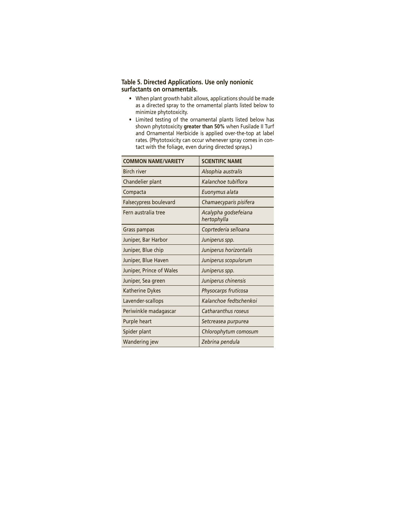#### **Table 5. Directed Applications. Use only nonionic surfactants on ornamentals.**

- When plant growth habit allows, applications should be made as a directed spray to the ornamental plants listed below to minimize phytotoxicity.
- Limited testing of the ornamental plants listed below has shown phytotoxicity **greater than 50%** when Fusilade II Turf and Ornamental Herbicide is applied over-the-top at label rates. (Phytotoxicity can occur whenever spray comes in contact with the foliage, even during directed sprays.)

| <b>COMMON NAME/VARIETY</b> | <b>SCIENTIFIC NAME</b>              |
|----------------------------|-------------------------------------|
| <b>Birch river</b>         | Alsophia australis                  |
| Chandelier plant           | Kalanchoe tubiflora                 |
| Compacta                   | Euonymus alata                      |
| Falsecypress boulevard     | Chamaecyparis pisifera              |
| Fern australia tree        | Acalypha godsefeiana<br>hertophylla |
| Grass pampas               | Coprtederia selloana                |
| Juniper, Bar Harbor        | Juniperus spp.                      |
| Juniper, Blue chip         | Juniperus horizontalis              |
| Juniper, Blue Haven        | Juniperus scopulorum                |
| Juniper, Prince of Wales   | Juniperus spp.                      |
| Juniper, Sea green         | Juniperus chinensis                 |
| <b>Katherine Dykes</b>     | Physocarps fruticosa                |
| Lavender-scallops          | Kalanchoe fedtschenkoi              |
| Periwinkle madagascar      | Catharanthus roseus                 |
| Purple heart               | Setcreasea purpurea                 |
| Spider plant               | Chlorophytum comosum                |
| Wandering jew              | Zebrina pendula                     |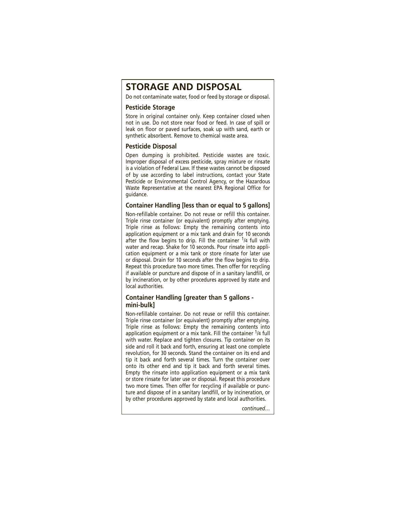## **STORAGE AND DISPOSAL**

Do not contaminate water, food or feed by storage or disposal.

#### **Pesticide Storage**

Store in original container only. Keep container closed when not in use. Do not store near food or feed. In case of spill or leak on floor or paved surfaces, soak up with sand, earth or synthetic absorbent. Remove to chemical waste area.

#### **Pesticide Disposal**

Open dumping is prohibited. Pesticide wastes are toxic. Improper disposal of excess pesticide, spray mixture or rinsate is a violation of Federal Law. If these wastes cannot be disposed of by use according to label instructions, contact your State Pesticide or Environmental Control Agency, or the Hazardous Waste Representative at the nearest EPA Regional Office for guidance.

#### **Container Handling [less than or equal to 5 gallons]**

Non-refillable container. Do not reuse or refill this container. Triple rinse container (or equivalent) promptly after emptying. Triple rinse as follows: Empty the remaining contents into application equipment or a mix tank and drain for 10 seconds after the flow begins to drip. Fill the container  $\frac{1}{4}$  full with water and recap. Shake for 10 seconds. Pour rinsate into application equipment or a mix tank or store rinsate for later use or disposal. Drain for 10 seconds after the flow begins to drip. Repeat this procedure two more times. Then offer for recycling if available or puncture and dispose of in a sanitary landfill, or by incineration, or by other procedures approved by state and local authorities.

#### **Container Handling [greater than 5 gallons mini-bulk]**

Non-refillable container. Do not reuse or refill this container. Triple rinse container (or equivalent) promptly after emptying. Triple rinse as follows: Empty the remaining contents into application equipment or a mix tank. Fill the container 1/4 full with water. Replace and tighten closures. Tip container on its side and roll it back and forth, ensuring at least one complete revolution, for 30 seconds. Stand the container on its end and tip it back and forth several times. Turn the container over onto its other end and tip it back and forth several times. Empty the rinsate into application equipment or a mix tank or store rinsate for later use or disposal. Repeat this procedure two more times. Then offer for recycling if available or puncture and dispose of in a sanitary landfill, or by incineration, or by other procedures approved by state and local authorities.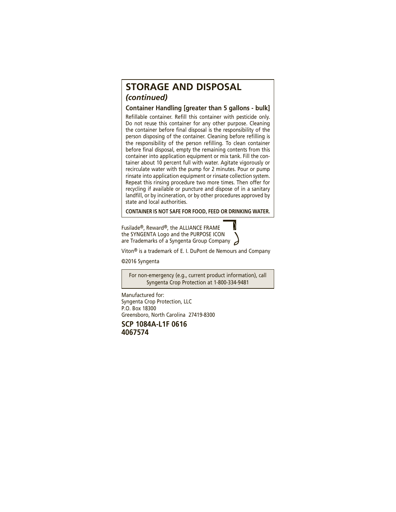## **STORAGE AND DISPOSAL** *(continued)*

**Container Handling [greater than 5 gallons - bulk]** Refillable container. Refill this container with pesticide only. Do not reuse this container for any other purpose. Cleaning the container before final disposal is the responsibility of the person disposing of the container. Cleaning before refilling is the responsibility of the person refilling. To clean container before final disposal, empty the remaining contents from this container into application equipment or mix tank. Fill the container about 10 percent full with water. Agitate vigorously or recirculate water with the pump for 2 minutes. Pour or pump rinsate into application equipment or rinsate collection system. Repeat this rinsing procedure two more times. Then offer for recycling if available or puncture and dispose of in a sanitary landfill, or by incineration, or by other procedures approved by state and local authorities.

**CONTAINER IS NOT SAFE FOR FOOD, FEED OR DRINKING WATER.**

Fusilade®, Reward®, the ALLIANCE FRAME the SYNGENTA Logo and the PURPOSE ICON are Trademarks of a Syngenta Group Company

Viton® is a trademark of E. I. DuPont de Nemours and Company

©2016 Syngenta

For non-emergency (e.g., current product information), call Syngenta Crop Protection at 1-800-334-9481

Manufactured for: Syngenta Crop Protection, LLC P.O. Box 18300 Greensboro, North Carolina 27419-8300

**SCP 1084A-L1F 0616 4067574**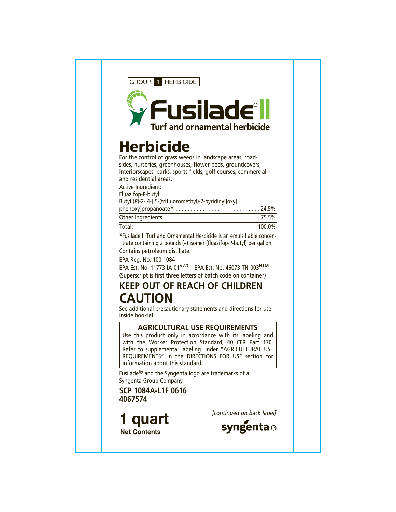

# **Herbicide**

For the control of grass weeds in landscape areas, roadsides, nurseries, greenhouses, flower beds, groundcovers, interiorscapes, parks, sports fields, golf courses, commercial and residential areas.

Active Ingredient: Fluazifop-P-butyl Butyl (*R*)-2-[4-[[5-(trifluoromethyl)-2-pyridinyl]oxy] phenoxy]propanoate**\*** . . . . . . . . . . . . . . . . . . . . . . . . . . . . 24.5% Other Ingredients 75.5% Total: 100.0%

**\***Fusilade II Turf and Ornamental Herbicide is an emulsifiable concentrate containing 2 pounds (+) isomer (fluazifop-P-butyl) per gallon. Contains petroleum distillate.

EPA Reg. No. 100-1084

EPA Est. No. 11773-IA-01VWC EPA Est. No. 46073-TN-003NTM (Superscript is first three letters of batch code on container)

# **KEEP OUT OF REACH OF CHILDREN CAUTION**

See additional precautionary statements and directions for use inside booklet.

## **AGRICULTURAL USE REQUIREMENTS**

Use this product only in accordance with its labeling and with the Worker Protection Standard, 40 CFR Part 170. Refer to supplemental labeling under "AGRICULTURAL USE REQUIREMENTS" in the DIRECTIONS FOR USE section for information about this standard.

Fusilade® and the Syngenta logo are trademarks of a Syngenta Group Company

**SCP 1084A-L1F 0616 4067574**

*[continued on back label]* **1 quart Net Contents**